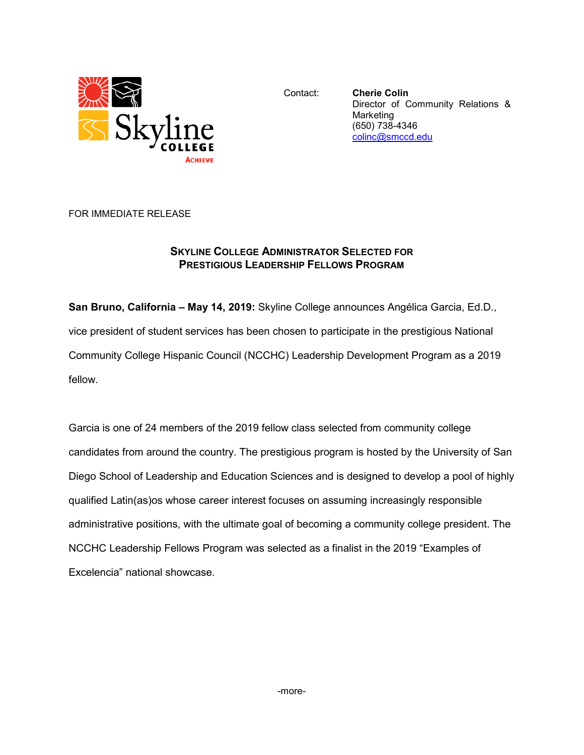

Contact: **Cherie Colin** Director of Community Relations & Marketing (650) 738-4346 [colinc@smccd.edu](mailto:colinc@smccd.edu)

FOR IMMEDIATE RELEASE

## **SKYLINE COLLEGE ADMINISTRATOR SELECTED FOR PRESTIGIOUS LEADERSHIP FELLOWS PROGRAM**

**San Bruno, California – May 14, 2019:** Skyline College announces Angélica Garcia, Ed.D., vice president of student services has been chosen to participate in the prestigious National Community College Hispanic Council (NCCHC) Leadership Development Program as a 2019 fellow.

Garcia is one of 24 members of the 2019 fellow class selected from community college candidates from around the country. The prestigious program is hosted by the University of San Diego School of Leadership and Education Sciences and is designed to develop a pool of highly qualified Latin(as)os whose career interest focuses on assuming increasingly responsible administrative positions, with the ultimate goal of becoming a community college president. The NCCHC Leadership Fellows Program was selected as a finalist in the 2019 "Examples of Excelencia" national showcase.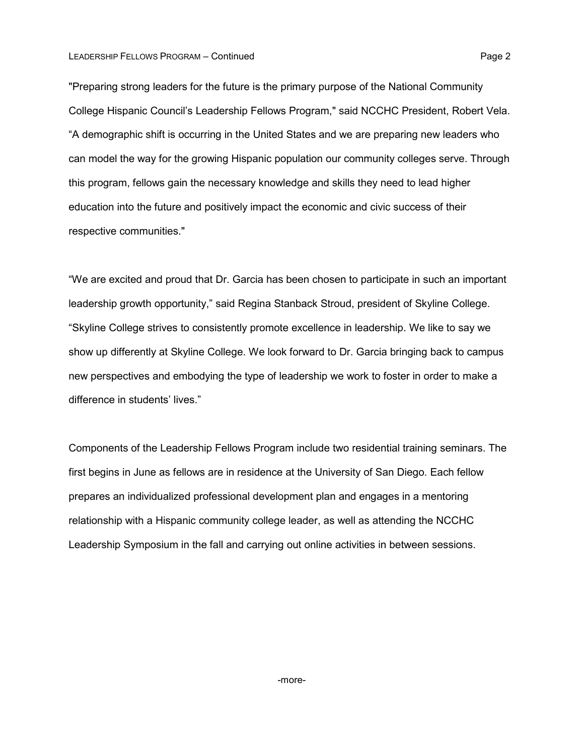## LEADERSHIP FELLOWS PROGRAM – Continued **Page 2** 2

"Preparing strong leaders for the future is the primary purpose of the National Community College Hispanic Council's Leadership Fellows Program," said NCCHC President, Robert Vela. "A demographic shift is occurring in the United States and we are preparing new leaders who can model the way for the growing Hispanic population our community colleges serve. Through this program, fellows gain the necessary knowledge and skills they need to lead higher education into the future and positively impact the economic and civic success of their respective communities."

"We are excited and proud that Dr. Garcia has been chosen to participate in such an important leadership growth opportunity," said Regina Stanback Stroud, president of Skyline College. "Skyline College strives to consistently promote excellence in leadership. We like to say we show up differently at Skyline College. We look forward to Dr. Garcia bringing back to campus new perspectives and embodying the type of leadership we work to foster in order to make a difference in students' lives."

Components of the Leadership Fellows Program include two residential training seminars. The first begins in June as fellows are in residence at the University of San Diego. Each fellow prepares an individualized professional development plan and engages in a mentoring relationship with a Hispanic community college leader, as well as attending the NCCHC Leadership Symposium in the fall and carrying out online activities in between sessions.